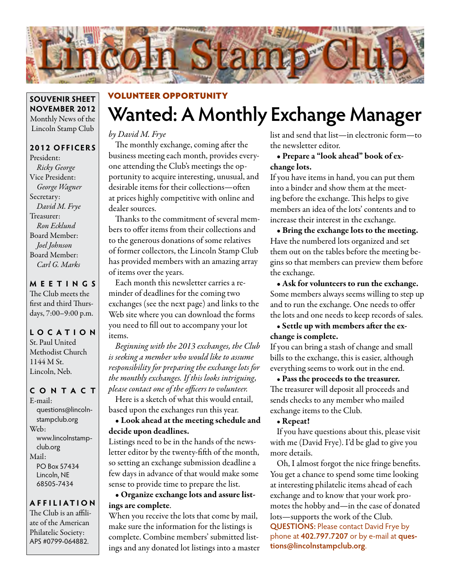

#### **SOUVENIR SHEET NOVEMBER 2012** Monthly News of the Lincoln Stamp Club

#### **2012 OFFICERS**

President: *Ricky George* Vice President: *George Wagner* Secretary: *David M. Frye* Treasurer: *Ron Ecklund* Board Member: *Joel Johnson* Board Member: *Carl G. Marks*

### **MEETINGS**

The Club meets the first and third Thursdays, 7:00–9:00 p.m.

#### **LO C ATI O N** St. Paul United

Methodist Church 1144 M St. Lincoln, Neb.

#### **CONTACT**

E-mail: questions@lincolnstampclub.org Web: www.lincolnstampclub.org Mail: PO Box 57434 Lincoln, NE 68505-7434

#### **AFFI LIATI O N**

The Club is an affiliate of the American Philatelic Society: APS #0799-064882.

# **Wanted: A Monthly Exchange Manager** VOLUNTEER OPPORTUNITY

#### *by David M. Frye*

The monthly exchange, coming after the business meeting each month, provides everyone attending the Club's meetings the opportunity to acquire interesting, unusual, and desirable items for their collections—often at prices highly competitive with online and dealer sources.

Thanks to the commitment of several members to offer items from their collections and to the generous donations of some relatives of former collectors, the Lincoln Stamp Club has provided members with an amazing array of items over the years.

Each month this newsletter carries a reminder of deadlines for the coming two exchanges (see the next page) and links to the Web site where you can download the forms you need to fill out to accompany your lot items.

*Beginning with the 2013 exchanges, the Club is seeking a member who would like to assume responsibility for preparing the exchange lots for the monthly exchanges. If this looks intriguing, please contact one of the officers to volunteer.* Here is a sketch of what this would entail, based upon the exchanges run this year.

#### • Look ahead at the meeting schedule and decide upon deadlines.

Listings need to be in the hands of the newsletter editor by the twenty-fifth of the month, so setting an exchange submission deadline a few days in advance of that would make some sense to provide time to prepare the list.

#### • Organize exchange lots and assure listings are complete.

When you receive the lots that come by mail, make sure the information for the listings is complete. Combine members' submitted listings and any donated lot listings into a master list and send that list—in electronic form—to the newsletter editor.

#### • Prepare a "look ahead" book of exchange lots.

If you have items in hand, you can put them into a binder and show them at the meeting before the exchange. This helps to give members an idea of the lots' contents and to increase their interest in the exchange.

• Bring the exchange lots to the meeting. Have the numbered lots organized and set them out on the tables before the meeting begins so that members can preview them before the exchange.

• Ask for volunteers to run the exchange. Some members always seems willing to step up and to run the exchange. One needs to offer the lots and one needs to keep records of sales.

#### • Settle up with members after the exchange is complete.

If you can bring a stash of change and small bills to the exchange, this is easier, although everything seems to work out in the end.

• Pass the proceeds to the treasurer. The treasurer will deposit all proceeds and sends checks to any member who mailed exchange items to the Club.

#### • Repeat!

If you have questions about this, please visit with me (David Frye). I'd be glad to give you more details.

Oh, I almost forgot the nice fringe benefits. You get a chance to spend some time looking at interesting philatelic items ahead of each exchange and to know that your work promotes the hobby and—in the case of donated lots—supports the work of the Club. **QUESTIONS: Please contact David Frye by** phone at **402.797.7207** or by e-mail at **questions@lincolnstampclub.org**.